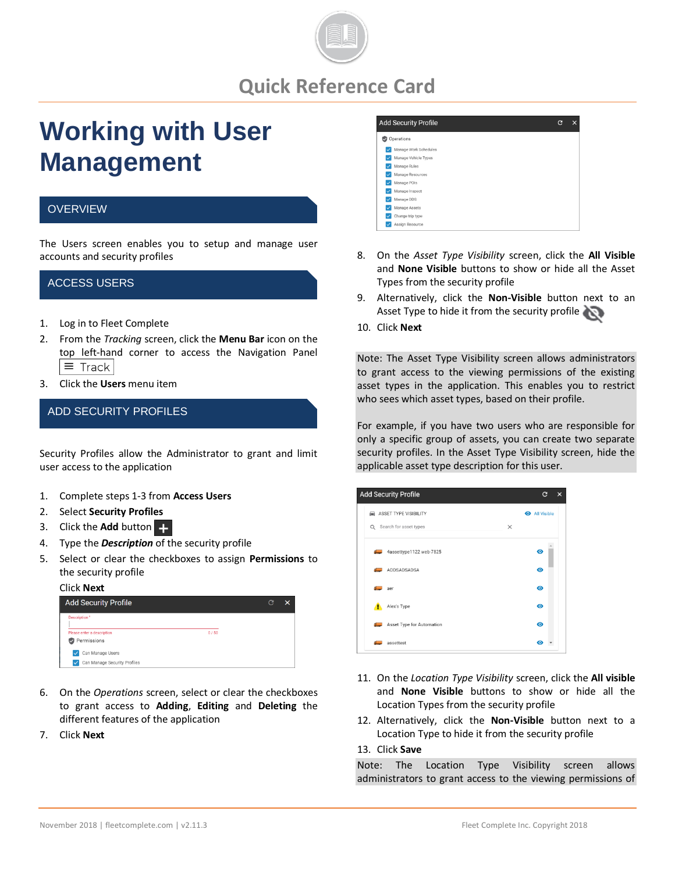

# **Quick Reference Card**

# **Working with User Management**

#### **OVERVIEW**

The Users screen enables you to setup and manage user accounts and security profiles

#### ACCESS USERS

- 1. Log in to Fleet Complete
- 2. From the *Tracking* screen, click the **Menu Bar** icon on the top left-hand corner to access the Navigation Panel  $\equiv$  Track
- 3. Click the **Users** menu item

## ADD SECURITY PROFILES

Security Profiles allow the Administrator to grant and limit user access to the application

- 1. Complete steps 1-3 from **Access Users**
- 2. Select **Security Profiles**
- 3. Click the **Add** button
- 4. Type the *Description* of the security profile
- 5. Select or clear the checkboxes to assign **Permissions** to the security profile

#### Click **Next**



- 6. On the *Operations* screen, select or clear the checkboxes to grant access to **Adding**, **Editing** and **Deleting** the different features of the application
- 7. Click **Next**



- 8. On the *Asset Type Visibility* screen, click the **All Visible** and **None Visible** buttons to show or hide all the Asset Types from the security profile
- 9. Alternatively, click the **Non-Visible** button next to an Asset Type to hide it from the security profile
- 10. Click **Next**

Note: The Asset Type Visibility screen allows administrators to grant access to the viewing permissions of the existing asset types in the application. This enables you to restrict who sees which asset types, based on their profile.

For example, if you have two users who are responsible for only a specific group of assets, you can create two separate security profiles. In the Asset Type Visibility screen, hide the applicable asset type description for this user.



- 11. On the *Location Type Visibility* screen, click the **All visible** and **None Visible** buttons to show or hide all the Location Types from the security profile
- 12. Alternatively, click the **Non-Visible** button next to a Location Type to hide it from the security profile

#### 13. Click **Save**

Note: The Location Type Visibility screen allows administrators to grant access to the viewing permissions of